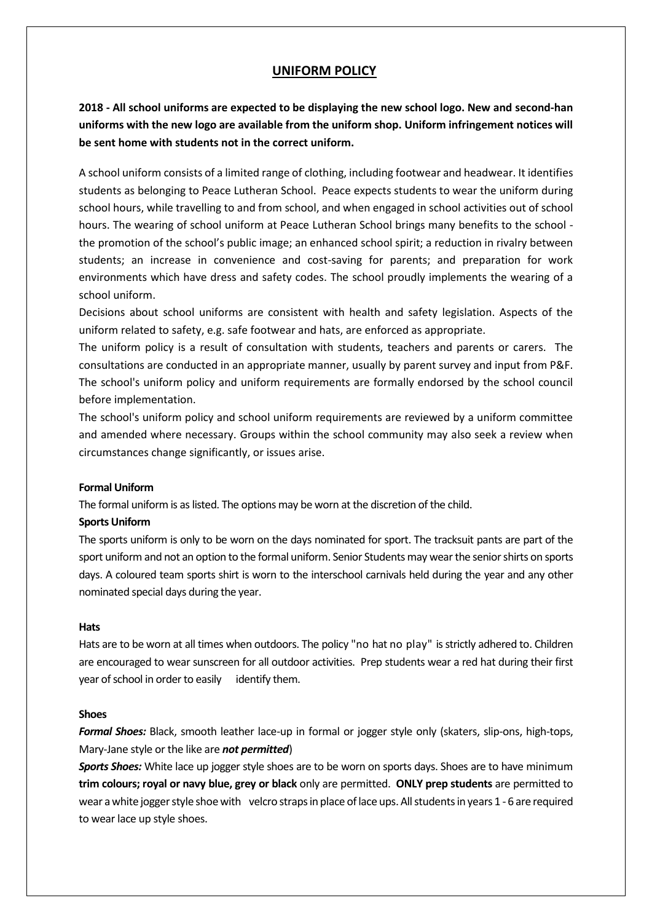# **UNIFORM POLICY**

**2018 - All school uniforms are expected to be displaying the new school logo. New and second-han uniforms with the new logo are available from the uniform shop. Uniform infringement notices will be sent home with students not in the correct uniform.**

A school uniform consists of a limited range of clothing, including footwear and headwear. It identifies students as belonging to Peace Lutheran School. Peace expects students to wear the uniform during school hours, while travelling to and from school, and when engaged in school activities out of school hours. The wearing of school uniform at Peace Lutheran School brings many benefits to the school the promotion of the school's public image; an enhanced school spirit; a reduction in rivalry between students; an increase in convenience and cost-saving for parents; and preparation for work environments which have dress and safety codes. The school proudly implements the wearing of a school uniform.

Decisions about school uniforms are consistent with health and safety legislation. Aspects of the uniform related to safety, e.g. safe footwear and hats, are enforced as appropriate.

The uniform policy is a result of consultation with students, teachers and parents or carers. The consultations are conducted in an appropriate manner, usually by parent survey and input from P&F. The school's uniform policy and uniform requirements are formally endorsed by the school council before implementation.

The school's uniform policy and school uniform requirements are reviewed by a uniform committee and amended where necessary. Groups within the school community may also seek a review when circumstances change significantly, or issues arise.

## **Formal Uniform**

The formal uniform is as listed. The options may be worn at the discretion of the child.

## **Sports Uniform**

The sports uniform is only to be worn on the days nominated for sport. The tracksuit pants are part of the sport uniform and not an option to the formal uniform. Senior Students may wear the senior shirts on sports days. A coloured team sports shirt is worn to the interschool carnivals held during the year and any other nominated special days during the year.

#### **Hats**

Hats are to be worn at all times when outdoors. The policy "no hat no play" is strictly adhered to. Children are encouraged to wear sunscreen for all outdoor activities. Prep students wear a red hat during their first year of school in order to easily identify them.

#### **Shoes**

*Formal Shoes:* Black, smooth leather lace-up in formal or jogger style only (skaters, slip-ons, high-tops, Mary-Jane style or the like are *not permitted*)

*Sports Shoes:* White lace up jogger style shoes are to be worn on sports days. Shoes are to have minimum **trim colours; royal or navy blue, grey or black** only are permitted. **ONLY prep students** are permitted to wear a white jogger style shoe with velcro straps in place of lace ups. All students in years 1 - 6 are required to wear lace up style shoes.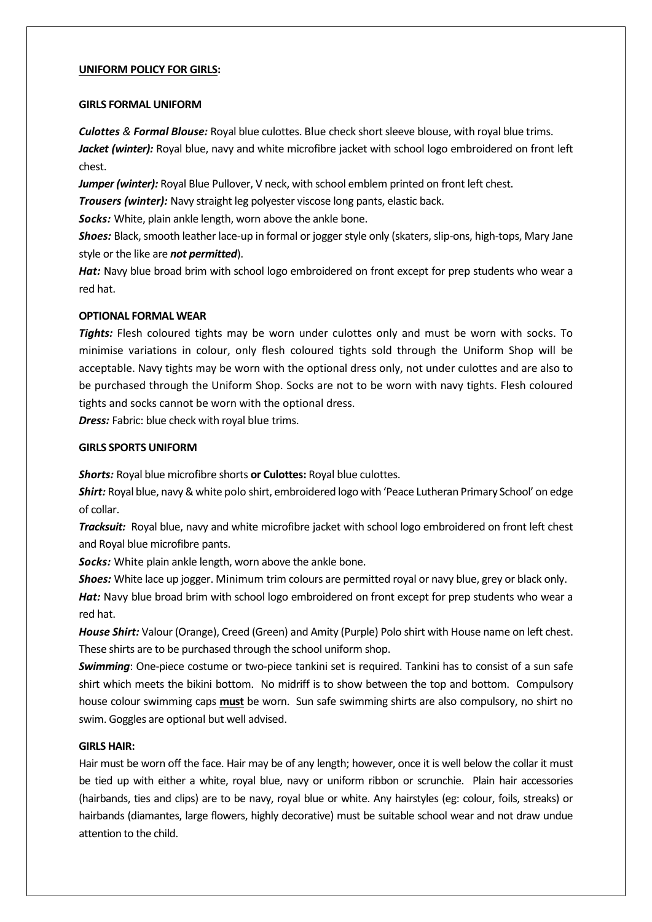#### **UNIFORM POLICY FOR GIRLS:**

#### **GIRLS FORMAL UNIFORM**

*Culottes & Formal Blouse:* Royal blue culottes. Blue check short sleeve blouse, with royal blue trims. Jacket (winter): Royal blue, navy and white microfibre jacket with school logo embroidered on front left chest.

**Jumper (winter):** Royal Blue Pullover, V neck, with school emblem printed on front left chest.

*Trousers (winter):* Navy straight leg polyester viscose long pants, elastic back.

*Socks:* White, plain ankle length, worn above the ankle bone.

*Shoes:* Black, smooth leather lace-up in formal or jogger style only (skaters, slip-ons, high-tops, Mary Jane style or the like are *not permitted*).

*Hat:* Navy blue broad brim with school logo embroidered on front except for prep students who wear a red hat.

## **OPTIONAL FORMAL WEAR**

*Tights:* Flesh coloured tights may be worn under culottes only and must be worn with socks. To minimise variations in colour, only flesh coloured tights sold through the Uniform Shop will be acceptable. Navy tights may be worn with the optional dress only, not under culottes and are also to be purchased through the Uniform Shop. Socks are not to be worn with navy tights. Flesh coloured tights and socks cannot be worn with the optional dress.

**Dress:** Fabric: blue check with royal blue trims.

## **GIRLS SPORTS UNIFORM**

*Shorts:* Royal blue microfibre shorts **or Culottes:** Royal blue culottes.

*Shirt:* Royal blue, navy & white polo shirt, embroidered logo with 'Peace Lutheran Primary School' on edge of collar.

*Tracksuit:* Royal blue, navy and white microfibre jacket with school logo embroidered on front left chest and Royal blue microfibre pants.

*Socks:* White plain ankle length, worn above the ankle bone.

*Shoes:* White lace up jogger. Minimum trim colours are permitted royal or navy blue, grey or black only.

Hat: Navy blue broad brim with school logo embroidered on front except for prep students who wear a red hat.

*House Shirt:* Valour (Orange), Creed (Green) and Amity (Purple) Polo shirt with House name on left chest. These shirts are to be purchased through the school uniform shop.

*Swimming*: One-piece costume or two-piece tankini set is required. Tankini has to consist of a sun safe shirt which meets the bikini bottom. No midriff is to show between the top and bottom. Compulsory house colour swimming caps **must** be worn. Sun safe swimming shirts are also compulsory, no shirt no swim. Goggles are optional but well advised.

## **GIRLS HAIR:**

Hair must be worn off the face. Hair may be of any length; however, once it is well below the collar it must be tied up with either a white, royal blue, navy or uniform ribbon or scrunchie. Plain hair accessories (hairbands, ties and clips) are to be navy, royal blue or white. Any hairstyles (eg: colour, foils, streaks) or hairbands (diamantes, large flowers, highly decorative) must be suitable school wear and not draw undue attention to the child.